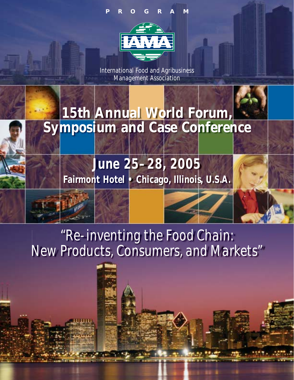## **PROGRAM**



International Food and Agribusiness Management Association

# **15th Annual World Forum, Symposium and Case Conference**

**June 25–28, 2005 Fairmont Hotel • Chicago, Illinois, U.S.A.**

*"Re-inventing the Food Chain: New Products, Consumers, and Markets"*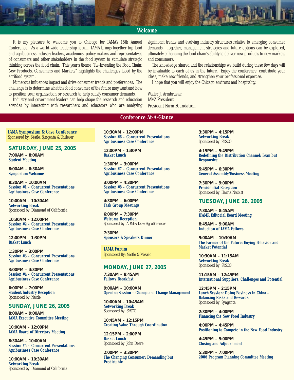#### **Welcome**

It is my pleasure to welcome you to Chicago for IAMA's 15th Annual Conference. As a world-wide leadership forum, IAMA brings together top food and agribusiness industry leaders, academics, policy makers and representatives of consumers and other stakeholders in the food system to stimulate strategic thinking across the food chain. This year's theme "Re-Inventing the Food Chain: New Products, Consumers and Markets" highlights the challenges faced by the agrifood system.

Numerous influences impact and drive consumer trends and preferences. The challenge is to determine what the food consumer of the future may want and how to position your organization or research to help satisfy consumer demands.

Industry and government leaders can help shape the research and education agendas by interacting with researchers and educators who are analyzing significant trends and evolving industry structures relative to emerging consumer demands. Together, management strategies and future options can be explored, ultimately enhancing the food chain's ability to deliver new products to new markets and consumers.

The knowledge shared and the relationships we build during these few days will be invaluable to each of us in the future. Enjoy the conference, contribute your ideas, make new friends, and strengthen your professional expertise.

I hope that you will enjoy the Chicago environs and hospitality.

Walter J. Armbruster *IAMA President President Farm Foundation*

#### **Conference At-A-Glance**

**IAMA Symposium & Case Conference** *Sponsored by: Nestle, Syngenta & Unilever*

**SATURDAY, JUNE 25, 2005**

**7:00AM – 8:00AM Student Meeting**

**8:00AM – 8:30AM Symposium Welcome**

**8:30AM – 10:00AM Session #1 – Concurrent Presentations Agribusiness Case Conference**

**10:00AM – 10:30AM Networking Break**  *Sponsored by: Diamond of California*

**10:30AM – 12:00PM Session #2 – Concurrent Presentations Agribusiness Case Conference**

**12:00PM – 1:30PM Basket Lunch** 

**1:30PM – 3:00PM Session #3 – Concurrent Presentations Agribusiness Case Conference**

**3:00PM – 4:30PM Session #4 – Concurrent Presentations Agribusiness Case Conference**

**6:00PM – 7:00PM Student/Industry Reception** *Sponsored by: Nestle*

#### **SUNDAY, JUNE 26, 2005**

**8:00AM – 9:00AM IAMA Executive Committee Meeting**

**10:00AM – 12:00PM IAMA Board of Directors Meeting** 

**8:30AM – 10:00AM Session #5 – Concurrent Presentations Agribusiness Case Conference**

**10:00AM – 10:30AM Networking Break** *Sponsored by: Diamond of California* **10:30AM – 12:00PM Session #6 – Concurrent Presentations Agribusiness Case Conference**

**12:00PM – 1:30PM Basket Lunch** 

**1:30PM – 3:00PM Session #7 – Concurrent Presentations Agribusiness Case Conference**

**3:00PM – 4:30PM Session #8 – Concurrent Presentations Agribusiness Case Conference**

**4:30PM – 6:00PM Task Group Meetings**

**6:00PM – 7:30PM Welcome Reception** *Sponsored by: ADM & Dow AgroSciences*

**7:30PM Sponsors & Speakers Dinner** 

**IAMA Forum** *Sponsored By: Nestle & Mosaic*

#### **MONDAY, JUNE 27, 2005**

**7:30AM – 8:45AM Fellows Breakfast** 

**9:00AM – 10:00AM Opening Session – Change and Change Management**

**10:00AM – 10:45AM Networking Break** *Sponsored by: SYSCO*

**10:45AM – 12:15PM Creating Value Through Coordination**

**12:15PM – 2:00PM Basket Lunch** *Sponsored by: John Deere*

**2:00PM – 3:30PM The Changing Consumer: Demanding but Predictable**

**3:30PM – 4:15PM Networking Break** *Sponsored by: SYSCO*

**4:15PM – 5:45PM Redefining the Distribution Channel: Lean but Responsive**

**5:45PM – 6:30PM General Assembly/Business Meeting**

**7:30PM – 9:00PM Presidential Reception**  *Sponsored by: Harris Nesbitt*

**TUESDAY, JUNE 28, 2005**

**7:30AM – 8:45AM IFAMR Editorial Board Meeting**

**8:45AM – 9:00AM Induction of IAMA Fellows**

**9:00AM – 10:30AM The Farmer of the Future: Buying Behavior and Market Potential**

**10:30AM – 11:15AM Networking Break** *Sponsored by: SYSCO*

**11:15AM – 12:45PM International Suppliers: Challenges and Potential**

**12:45PM – 2:15PM Lunch Session: Doing Business in China - Balancing Risks and Rewards:**  *Sponsored by: Syngenta*

**2:30PM – 4:00PM Financing the New Food Industry**

**4:00PM – 4:45PM Positioning to Compete in the New Food Industry**

**4:45PM – 5:00PM Closing and Adjournment**

**5:30PM – 7:00PM 2006 Program Planning Committee Meeting**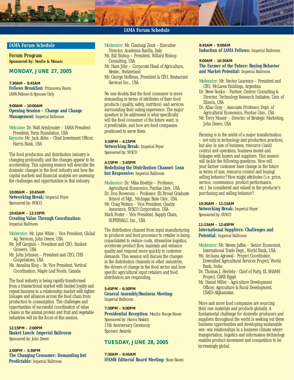

#### **IAMA Forum Schedule**

**Forum Program** *Sponsored by: Nestle & Mosaic*

## **MONDAY, JUNE 27, 2005**

**7:30AM – 8:45AM Fellows Breakfast:** *Primavera Room IAMA Fellows & Spouses Only*

**9:00AM – 10:00AM Opening Session – Change and Change Management:** *Imperial Ballroom*

*Welcome:* Dr. Walt Armbruster – IAMA President President, Farm Foundation, USA *Keynote:* Mr. Jack Ablin – Chief Investment Officer, Harris Bank, USA

The food production and distribution industry is changing profoundly, and the changes appear to be accelerating. This opening session will describe the dramatic changes in the food industry and how the capital markets and financial analysts are assessing the challenges and opportunities in that industry.

**10:00AM – 10:45AM Networking Break:** *Imperial Foyer Sponsored by: SYSCO*

#### **10:45AM – 12:15PM Creating Value Through Coordination:** *Imperial Ballroom*

- *Moderator:* Mr. Lynn White Vice President, Global Ag. Services, John Deere, USA
- Mr. Jeff Gargiulo President and CEO, Sunkist Growers, USA
- Mr. John Johnson President and CEO, CHS Cooperatives, USA
- Ms. Annalisa King Sr. Vice President, Vertical Coordination, Maple Leaf Foods, Canada

The food industry is being rapidly transformed from a transactional market with limited loyalty and repeat business to a relationship market with tighter linkages and alliances across the food chain from production to consumption. The challenges and opportunities of successful coordination of value chains in the animal protein and fruit and vegetable industries will be the focus of this session.

**12:15PM – 2:00PM Basket Lunch: Imperial Ballroom** *Sponsored by: John Deere*

**2:00PM – 3:30PM The Changing Consumer: Demanding but Predictable:** *Imperial Ballroom*

- *Moderator:* Mr. Gianluigi Zenti Executive Director, Academia Barilla, Italy
- Mr. Bill Bishop President, Willard Bishop Consulting, USA
- Mr. Hans Jöhr Corporate Head of Agriculture, Nestec, Switzerland
- Mr. George Hoffman, President & CEO, Restaurant Services Inc., USA

No one doubts that the food consumer is more demanding in terms of attributes of their food products (quality, safety, nutrition) and services surrounding their eating experience. The major question to be addressed is what specifically will the food consumer of the future want, is it predictable, and how are food companies positioned to serve them.

**3:30PM – 4:15PM Networking Break:** *Imperial Foyer Sponsored by: SYSCO*

**4:15PM – 5:45PM Redefining the Distribution Channel: Lean but Responsive:** *Imperial Ballroom*

*Moderator:* Dr. Mike Boehlje – Professor, Agricultural Economics, Purdue Univ., USA Dr. Don Bowersox – Professor, Eli Broad Graduate School of Mgt., Michigan State Univ., USA Mr. Craig Watson – Vice President, Quality Assurance, SYSCO Corporation, USA Mark Foster – Vice President, Supply Chain, SUPERVALU, Inc., USA

The distribution channel from input manufacturing to producer and food processor to retailer is being consolidated to reduce costs, streamline logistics, accelerate product flow, maintain and enhance quality and respond more quickly to customer demands. This session will discuss the changes in the distribution channels in other industries, the drivers of change in the food sector and how specific agricultural input retailers and food distributors are responding.

#### **5:45PM – 6:30PM General Assembly/Business Meeting:** *Imperial Ballroom*

**7:30PM – 9:00PM Presidential Reception:** *Moulin Rouge Room Sponsored by: Harris Nesbitt* 15th Anniversary Ceremony Sponsor Awards

#### **TUESDAY, JUNE 28, 2005**

**7:30AM – 8:45AM IFAMR Editorial Board Meeting:** *State Room*

#### **8:45AM – 9:00AM Induction of IAMA Fellows:** *Imperial Ballroom*

#### **9:00AM – 10:30AM The Farmer of the Future: Buying Behavior and Market Potential:** *Imperial Ballroom*

*Moderator:* Mr. Hector Laurence – President and CEO, McLaren Holdings, Argentina

- Dr. Steve Sonka Partner, Centrec Consulting & Director, Technology Research Initiative, Univ. of Illinois, USA
- Dr. Allan Gray Associate Professor, Dept. of Agricultural Economics, Purdue Univ., USA
- Mr. Terry Mosier Director of Strategic Marketing, John Deere, USA

Farming is in the midst of a major transformation – not only in technology and production practices, but also in size of business, resource (land) control and operation, business model and linkages with buyers and suppliers. This session will tackle the following questions. How will your farmer customer base change in the future in terms of size, resource control and buying/ selling behavior? How might attributes (i.e. price, service, convenience, product performance, etc.) be considered and valued in the producer's purchasing and selling behavior?

**10:30AM – 11:15AM Networking Break:** *Imperial Foyer Sponsored by: SYSCO*

**11:15AM – 12:45PM International Suppliers: Challenges and Potential:** *Imperial Ballroom*

- *Moderator:* Mr. Steven Jaffee Senior Economist, International Trade Dept., World Bank, USA
- Ms. Archana Agrawal Project Coordinator, Diversified Agricultural Services Project, World Bank, India
- Dr. Thomas J. Herlehy Chief of Party, EL SHAMS Project, CARE-Egypt
- Mr. Daniel Miller Agriculture Development Officer, Agriculture & Rural Development, USAID-Afghanistan

More and more food companies are sourcing their raw materials and products globally. A fundamental challenge for domestic producers and suppliers throughout the world is seeking out these business opportunities and developing sustainable win–win relationships in a business climate where transportation, logistics and information technology enables product movement and competition to be increasingly global.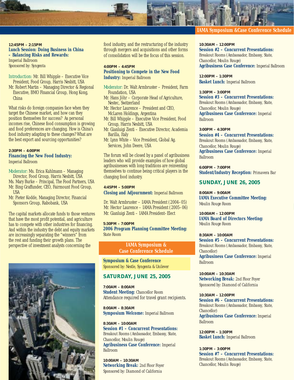

**12:45PM – 2:15PM Lunch Session: Doing Business in China – Balancing Risks and Rewards:**  *Imperial Ballroom Sponsored by: Syngenta*

*Introduction:* Mr. Bill Whipple – Executive Vice President, Food Group, Harris Nesbitt, USA

Mr. Robert Martin – Managing Director & Regional Executive, BMO Financial Group, Hong Kong, China

What risks do foreign companies face when they target the Chinese market, and how can they position themselves for success? As personal incomes rise, Chinese food consumption is growing and food preferences are changing. How is China's food industry adapting to these changes? What are the best export and sourcing opportunities?

**2:30PM – 4:00PM Financing the New Food Industry:** *Imperial Ballroom*

*Moderator:* Ms. Erica Kuhlmann – Managing Director, Food Group, Harris Nesbitt, USA Ms. Mary Burke – Principal, The Food Partners, USA Mr. Bing Graffunder, CEO, Fairmount Food Group, USA

Mr. Pieter Kodde, Managing Director, Financial Sponsors Group, Rabobank, USA

The capital markets allocate funds to those ventures that have the most profit potential, and agriculture has to compete with other industries for financing. And within the industry the debt and equity markets are increasingly separating the "winners" from the rest and funding their growth plans. The perspective of investment analysts concerning the



food industry, and the restructuring of the industry through mergers and acquisitions and other forms of consolidation will be the focus of this session.

**4:00PM – 4:45PM Positioning to Compete in the New Food Industry:** *Imperial Ballroom*

- *Moderator:* Dr. Walt Armbruster President, Farm Foundation, USA
- Mr. Hans Jöhr Corporate Head of Agriculture, Nestec, Switzerland
- Mr. Hector Laurence President and CEO, McLaren Holdings, Argentina
- Mr. Bill Whipple Executive Vice President, Food Group, Harris Nesbitt, USA
- Mr. Gianluigi Zenti Executive Director, Academia Barilla, Italy
- Mr. Lynn White Vice President, Global Ag. Services, John Deere, USA

The forum will be closed by a panel of agribusiness leaders who will provide examples of how global agribusinesses with long traditions are reinventing themselves to continue being critical players in the changing food industry.

**4:45PM – 5:00PM Closing and Adjournment:** *Imperial Ballroom*

Dr. Walt Armbruster – IAMA President (2004–05) Mr. Hector Laurence – IAMA President (2005–06) Mr. Gianluigi Zenti – IAMA President–Elect

**5:30PM – 7:00PM 2006 Program Planning Committee Meeting:** *State Room*

> **IAMA Symposium & Case Conference Schedule**

**Symposium & Case Conference** *Sponsored by: Nestle, Syngenta & Unilever*

#### **SATURDAY, JUNE 25, 2005**

**7:00AM – 8:00AM Student Meeting:** *Chancellor Room Attendance required for travel grant recipients.*

**8:00AM – 8:30AM Symposium Welcome:** *Imperial Ballroom*

**8:30AM – 10:00AM Session #1 – Concurrent Presentations:**  *Breakout Rooms (Ambassador, Embassy, State, Chancellor, Moulin Rouge)* **Agribusiness Case Conference:** *Imperial Ballroom*

**10:00AM – 10:30AM Networking Break:** *2nd Floor Foyer Sponsored by: Diamond of California*

#### **IAMA Symposium &Case Conference Schedule**

**10:30AM – 12:00PM Session #2 – Concurrent Presentations:**  *Breakout Rooms (Ambassador, Embassy, State, Chancellor, Moulin Rouge)* **Agribusiness Case Conference:** *Imperial Ballroom*

**12:00PM – 1:30PM Basket Lunch:** *Imperial Ballroom*

**1:30PM – 3:00PM Session #3 – Concurrent Presentations:** *Breakout Rooms (Ambassador, Embassy, State, Chancellor, Moulin Rouge)* **Agribusiness Case Conference:** *Imperial Ballroom*

**3:00PM – 4:30PM Session #4 – Concurrent Presentations:** *Breakout Rooms (Ambassador, Embassy, State, Chancellor, Moulin Rouge)* **Agribusiness Case Conference:** *Imperial Ballroom*

**6:00PM – 7:00PM Student/Industry Reception:** *Primavera Bar*

#### **SUNDAY, JUNE 26, 2005**

**8:00AM – 9:00AM IAMA Executive Committee Meeting:** *Moulin Rouge Room*

**10:00AM – 12:00PM IAMA Board of Directors Meeting:** *Moulin Rouge Room*

**8:30AM – 10:00AM Session #5 – Concurrent Presentations:** *Breakout Rooms (Ambassador, Embassy, State, Chancellor)* **Agribusiness Case Conference:** *Imperial Ballroom*

**10:00AM – 10:30AM Networking Break:** *2nd Floor Foyer Sponsored by: Diamond of California*

**10:30AM – 12:00PM Session #6 – Concurrent Presentations:** *Breakout Rooms (Ambassador, Embassy, State, Chancellor)* **Agribusiness Case Conference:** *Imperial Ballroom*

**12:00PM – 1:30PM Basket Lunch:** *Imperial Ballroom*

**1:30PM – 3:00PM Session #7 – Concurrent Presentations:**  *Breakout Rooms (Ambassador, Embassy, State, Chancellor, Moulin Rouge)*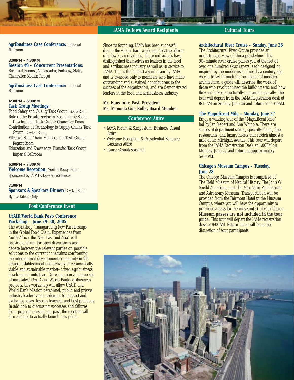#### **IAMA Fellows Award Recipients Cultural Tours**

**Agribusiness Case Conference:** *Imperial Ballroom*

#### **3:00PM – 4:30PM Session #8 – Concurrent Presentations:**

*Breakout Rooms (Ambassador, Embassy, State, Chancellor, Moulin Rouge)*

#### **Agribusiness Case Conference:** *Imperial Ballroom*

#### **4:30PM – 6:00PM**

#### **Task Group Meetings:**

Food Safety and Quality Task Group: *State Room* Role of the Private Sector in Economic & Social

- Development Task Group: *Chancellor Room* Contribution of Technology to Supply Chains Task Group: *Crystal Room*
- Effective Food Chain Management Task Group: *Regent Room*
- Education and Knowledge Transfer Task Group: *Imperial Ballroom*

**6:00PM – 7:30PM**

**Welcome Reception:** *Moulin Rouge Room Sponsored by: ADM & Dow AgroSciences*

#### **7:30PM**

**Sponsors & Speakers Dinner:** *Crystal Room By Invitation Only*

#### **Post Conference Event**

#### **USAID/World Bank Post–Conference Workshop – June 29–30, 2005**

The workshop "Inaugurating New Partnerships in the Global Food Chain: Experiences from North Africa, the Near East and Asia" will provide a forum for open discussions and debate between the relevant parties on possible solutions to the current constraints confronting the international development community in the design, establishment and delivery of economically viable and sustainable market–driven agribusiness development initiatives. Drawing upon a unique set of innovative USAID and World Bank agribusiness projects, this workshop will allow USAID and World Bank Mission personnel, public and private industry leaders and academics to interact and exchange ideas, lessons learned, and best practices. In addition to discussing successes and failures from projects present and past, the meeting will also attempt to actually launch new pilots.

Since its founding, IAMA has been successful due to the vision, hard work and creative efforts of a few key individuals. These individuals have distinguished themselves as leaders in the food and agribusiness industry as well as in service to IAMA. This is the highest award given by IAMA and is awarded only to members who have made outstanding and sustained contributions to the success of the organization, and are demonstrated leaders in the food and agribusiness industry.

#### **Mr. Hans Jöhr, Past–President Ms. Manuela Gut–Rella, Board Member**

#### **Conference Attire**

- IAMA Forum & Symposium: Business Casual **Attire**
- Welcome Reception & Presidential Banquet: Business Attire
- Tours: Casual/Seasonal

**Architectural River Cruise – Sunday, June 26** The Architectural River Cruise provides an unobstructed view of Chicago's skyline. This 90–minute river cruise places you at the feet of over one hundred skyscrapers, each designed or inspired by the modernists of nearly a century ago. As you travel through the birthplace of modern architecture, a guide will describe the work of those who revolutionized the building arts, and how they are linked structurally and architecturally. The tour will depart from the IAMA Registration desk at 8:15AM on Sunday, June 26 and return at 11:00AM.

#### **The Magnificent Mile – Monday, June 27**

Enjoy a walking tour of the "Magnificent Mile" led by Jan Siebert and Ann Whipple. There are scores of department stores, specialty shops, fine restaurants, and luxury hotels that stretch almost a mile down Michigan Avenue. This tour will depart from the IAMA Registration Desk at 1:00PM on Monday, June 27 and return at approximately 5:00 PM.

#### **Chicago's Museum Campus – Tuesday, June 28**

The Chicago Museum Campus is comprised of The Field Museum of Natural History, The John G. Shedd Aquarium, and The Max Adler Planetarium and Astronomy Museum. Transportation will be provided from the Fairmont Hotel to the Museum Campus, where you will have the opportunity to purchase a pass for the museum(s) of your choice. **Museum passes are not included in the tour price.** This tour will depart the IAMA registration desk at 9:00AM. Return times will be at the discretion of tour participants.